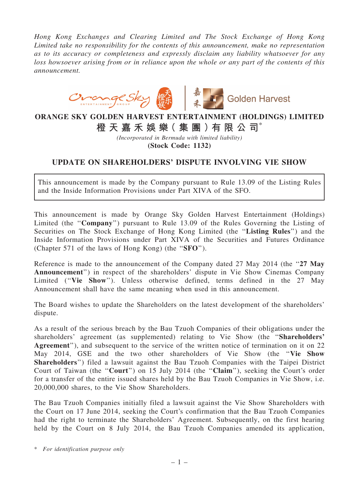*Hong Kong Exchanges and Clearing Limited and The Stock Exchange of Hong Kong Limited take no responsibility for the contents of this announcement, make no representation as to its accuracy or completeness and expressly disclaim any liability whatsoever for any loss howsoever arising from or in reliance upon the whole or any part of the contents of this announcement.*



## ORANGE SKY GOLDEN HARVEST ENTERTAINMENT (HOLDINGS) LIMITED 橙 天 嘉 禾 娛 樂( 集 團 )有 限 公 司\*

*(Incorporated in Bermuda with limited liability)*

(Stock Code: 1132)

## UPDATE ON SHAREHOLDERS' DISPUTE INVOLVING VIE SHOW

This announcement is made by the Company pursuant to Rule 13.09 of the Listing Rules and the Inside Information Provisions under Part XIVA of the SFO.

This announcement is made by Orange Sky Golden Harvest Entertainment (Holdings) Limited (the "Company") pursuant to Rule 13.09 of the Rules Governing the Listing of Securities on The Stock Exchange of Hong Kong Limited (the ''Listing Rules'') and the Inside Information Provisions under Part XIVA of the Securities and Futures Ordinance (Chapter 571 of the laws of Hong Kong) (the ''SFO'').

Reference is made to the announcement of the Company dated 27 May 2014 (the "27 May Announcement'') in respect of the shareholders' dispute in Vie Show Cinemas Company Limited ("Vie Show"). Unless otherwise defined, terms defined in the 27 May Announcement shall have the same meaning when used in this announcement.

The Board wishes to update the Shareholders on the latest development of the shareholders' dispute.

As a result of the serious breach by the Bau Tzuoh Companies of their obligations under the shareholders' agreement (as supplemented) relating to Vie Show (the ''Shareholders' Agreement"), and subsequent to the service of the written notice of termination on it on 22 May 2014, GSE and the two other shareholders of Vie Show (the "Vie Show Shareholders'') filed a lawsuit against the Bau Tzuoh Companies with the Taipei District Court of Taiwan (the "Court") on 15 July 2014 (the "Claim"), seeking the Court's order for a transfer of the entire issued shares held by the Bau Tzuoh Companies in Vie Show, i.e. 20,000,000 shares, to the Vie Show Shareholders.

The Bau Tzuoh Companies initially filed a lawsuit against the Vie Show Shareholders with the Court on 17 June 2014, seeking the Court's confirmation that the Bau Tzuoh Companies had the right to terminate the Shareholders' Agreement. Subsequently, on the first hearing held by the Court on 8 July 2014, the Bau Tzuoh Companies amended its application,

\* *For identification purpose only*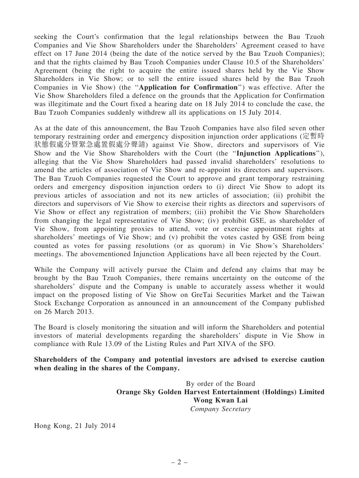seeking the Court's confirmation that the legal relationships between the Bau Tzuoh Companies and Vie Show Shareholders under the Shareholders' Agreement ceased to have effect on 17 June 2014 (being the date of the notice served by the Bau Tzuoh Companies); and that the rights claimed by Bau Tzuoh Companies under Clause 10.5 of the Shareholders' Agreement (being the right to acquire the entire issued shares held by the Vie Show Shareholders in Vie Show; or to sell the entire issued shares held by the Bau Tzuoh Companies in Vie Show) (the ''Application for Confirmation'') was effective. After the Vie Show Shareholders filed a defence on the grounds that the Application for Confirmation was illegitimate and the Court fixed a hearing date on 18 July 2014 to conclude the case, the Bau Tzuoh Companies suddenly withdrew all its applications on 15 July 2014.

As at the date of this announcement, the Bau Tzuoh Companies have also filed seven other temporary restraining order and emergency disposition injunction order applications (定暫時 狀態假處分暨緊急處置假處分聲請) against Vie Show, directors and supervisors of Vie Show and the Vie Show Shareholders with the Court (the ''Injunction Applications''), alleging that the Vie Show Shareholders had passed invalid shareholders' resolutions to amend the articles of association of Vie Show and re-appoint its directors and supervisors. The Bau Tzuoh Companies requested the Court to approve and grant temporary restraining orders and emergency disposition injunction orders to (i) direct Vie Show to adopt its previous articles of association and not its new articles of association; (ii) prohibit the directors and supervisors of Vie Show to exercise their rights as directors and supervisors of Vie Show or effect any registration of members; (iii) prohibit the Vie Show Shareholders from changing the legal representative of Vie Show; (iv) prohibit GSE, as shareholder of Vie Show, from appointing proxies to attend, vote or exercise appointment rights at shareholders' meetings of Vie Show; and (v) prohibit the votes casted by GSE from being counted as votes for passing resolutions (or as quorum) in Vie Show's Shareholders' meetings. The abovementioned Injunction Applications have all been rejected by the Court.

While the Company will actively pursue the Claim and defend any claims that may be brought by the Bau Tzuoh Companies, there remains uncertainty on the outcome of the shareholders' dispute and the Company is unable to accurately assess whether it would impact on the proposed listing of Vie Show on GreTai Securities Market and the Taiwan Stock Exchange Corporation as announced in an announcement of the Company published on 26 March 2013.

The Board is closely monitoring the situation and will inform the Shareholders and potential investors of material developments regarding the shareholders' dispute in Vie Show in compliance with Rule 13.09 of the Listing Rules and Part XIVA of the SFO.

Shareholders of the Company and potential investors are advised to exercise caution when dealing in the shares of the Company.

> By order of the Board Orange Sky Golden Harvest Entertainment (Holdings) Limited Wong Kwan Lai *Company Secretary*

Hong Kong, 21 July 2014